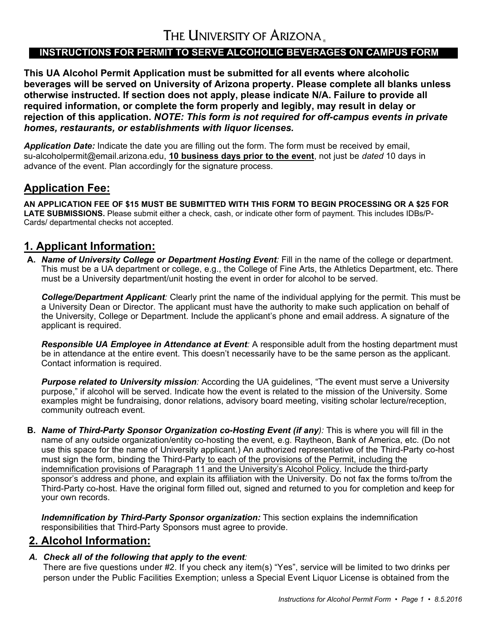# THE UNIVERSITY OF ARIZONA.

### **INSTRUCTIONS FOR PERMIT TO SERVE ALCOHOLIC BEVERAGES ON CAMPUS FORM**

**This UA Alcohol Permit Application must be submitted for all events where alcoholic beverages will be served on University of Arizona property. Please complete all blanks unless otherwise instructed. If section does not apply, please indicate N/A. Failure to provide all required information, or complete the form properly and legibly, may result in delay or rejection of this application.** *NOTE: This form is not required for off-campus events in private homes, restaurants, or establishments with liquor licenses.*

*Application Date:* Indicate the date you are filling out the form. The form must be received by email, su-alcoholpermit@email.arizona.edu, **10 business days prior to the event**, not just be *dated* 10 days in advance of the event. Plan accordingly for the signature process.

#### **Application Fee:**

**AN APPLICATION FEE OF \$15 MUST BE SUBMITTED WITH THIS FORM TO BEGIN PROCESSING OR A \$25 FOR LATE SUBMISSIONS.** Please submit either a check, cash, or indicate other form of payment. This includes IDBs/P-Cards/ departmental checks not accepted.

### **1. Applicant Information:**

**A.** *Name of University College or Department Hosting Event:* Fill in the name of the college or department. This must be a UA department or college, e.g., the College of Fine Arts, the Athletics Department, etc. There must be a University department/unit hosting the event in order for alcohol to be served.

*College/Department Applicant:* Clearly print the name of the individual applying for the permit. This must be a University Dean or Director. The applicant must have the authority to make such application on behalf of the University, College or Department. Include the applicant's phone and email address. A signature of the applicant is required.

*Responsible UA Employee in Attendance at Event:* A responsible adult from the hosting department must be in attendance at the entire event. This doesn't necessarily have to be the same person as the applicant. Contact information is required.

**Purpose related to University mission**: According the UA guidelines, "The event must serve a University purpose," if alcohol will be served. Indicate how the event is related to the mission of the University. Some examples might be fundraising, donor relations, advisory board meeting, visiting scholar lecture/reception, community outreach event.

**B.** *Name of Third-Party Sponsor Organization co-Hosting Event (if any):* This is where you will fill in the name of any outside organization/entity co-hosting the event, e.g. Raytheon, Bank of America, etc. (Do not use this space for the name of University applicant.) An authorized representative of the Third-Party co-host must sign the form, binding the Third-Party to each of the provisions of the Permit, including the indemnification provisions of Paragraph 11 and the University's Alcohol Policy. Include the third-party sponsor's address and phone, and explain its affiliation with the University. Do not fax the forms to/from the Third-Party co-host. Have the original form filled out, signed and returned to you for completion and keep for your own records.

*Indemnification by Third-Party Sponsor organization:* This section explains the indemnification responsibilities that Third-Party Sponsors must agree to provide.

# **2. Alcohol Information:**

#### *A. Check all of the following that apply to the event:*

There are five questions under #2. If you check any item(s) "Yes", service will be limited to two drinks per person under the Public Facilities Exemption; unless a Special Event Liquor License is obtained from the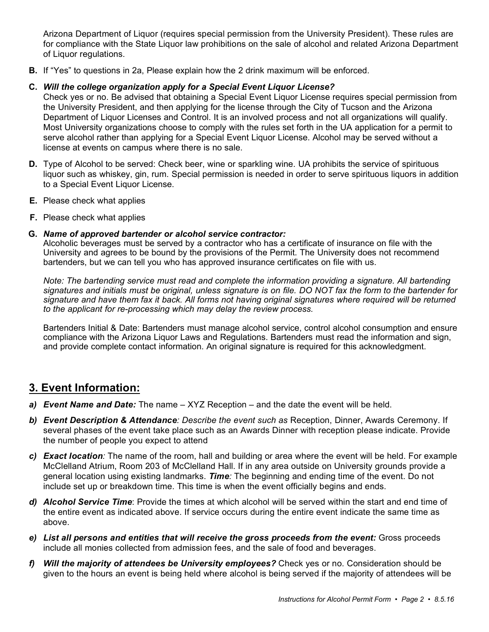Arizona Department of Liquor (requires special permission from the University President). These rules are for compliance with the State Liquor law prohibitions on the sale of alcohol and related Arizona Department of Liquor regulations.

**B.** If "Yes" to questions in 2a, Please explain how the 2 drink maximum will be enforced.

#### **C.** *Will the college organization apply for a Special Event Liquor License?*

Check yes or no. Be advised that obtaining a Special Event Liquor License requires special permission from the University President, and then applying for the license through the City of Tucson and the Arizona Department of Liquor Licenses and Control. It is an involved process and not all organizations will qualify. Most University organizations choose to comply with the rules set forth in the UA application for a permit to serve alcohol rather than applying for a Special Event Liquor License. Alcohol may be served without a license at events on campus where there is no sale.

- **D.** Type of Alcohol to be served: Check beer, wine or sparkling wine. UA prohibits the service of spirituous liquor such as whiskey, gin, rum. Special permission is needed in order to serve spirituous liquors in addition to a Special Event Liquor License.
- **E.** Please check what applies
- **F.** Please check what applies

#### **G.** *Name of approved bartender or alcohol service contractor:*

Alcoholic beverages must be served by a contractor who has a certificate of insurance on file with the University and agrees to be bound by the provisions of the Permit. The University does not recommend bartenders, but we can tell you who has approved insurance certificates on file with us.

*Note: The bartending service must read and complete the information providing a signature. All bartending signatures and initials must be original, unless signature is on file. DO NOT fax the form to the bartender for signature and have them fax it back. All forms not having original signatures where required will be returned to the applicant for re-processing which may delay the review process.*

Bartenders Initial & Date: Bartenders must manage alcohol service, control alcohol consumption and ensure compliance with the Arizona Liquor Laws and Regulations. Bartenders must read the information and sign, and provide complete contact information. An original signature is required for this acknowledgment.

### **3. Event Information:**

- *a) Event Name and Date:* The name XYZ Reception and the date the event will be held.
- *b) Event Description & Attendance: Describe the event such as* Reception, Dinner, Awards Ceremony. If several phases of the event take place such as an Awards Dinner with reception please indicate. Provide the number of people you expect to attend
- *c) Exact location:* The name of the room, hall and building or area where the event will be held. For example McClelland Atrium, Room 203 of McClelland Hall. If in any area outside on University grounds provide a general location using existing landmarks. *Time:* The beginning and ending time of the event. Do not include set up or breakdown time. This time is when the event officially begins and ends.
- *d) Alcohol Service Time*: Provide the times at which alcohol will be served within the start and end time of the entire event as indicated above. If service occurs during the entire event indicate the same time as above.
- *e) List all persons and entities that will receive the gross proceeds from the event:* Gross proceeds include all monies collected from admission fees, and the sale of food and beverages.
- *f) Will the majority of attendees be University employees?* Check yes or no. Consideration should be given to the hours an event is being held where alcohol is being served if the majority of attendees will be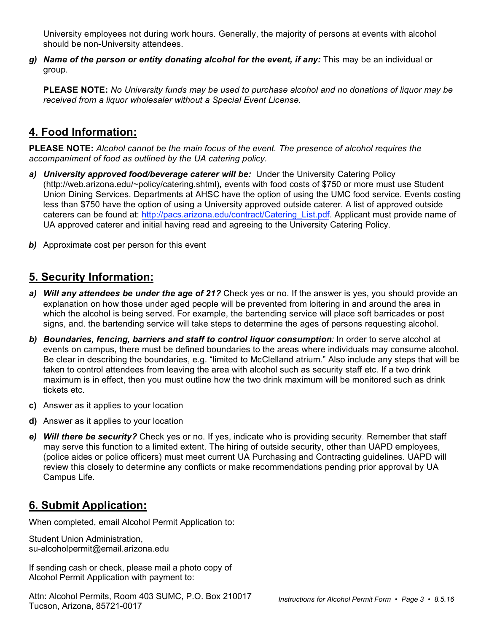University employees not during work hours. Generally, the majority of persons at events with alcohol should be non-University attendees.

*g) Name of the person or entity donating alcohol for the event, if any:* This may be an individual or group.

**PLEASE NOTE:** *No University funds may be used to purchase alcohol and no donations of liquor may be received from a liquor wholesaler without a Special Event License.*

# **4. Food Information:**

**PLEASE NOTE:** *Alcohol cannot be the main focus of the event. The presence of alcohol requires the accompaniment of food as outlined by the UA catering policy.*

- *a) University approved food/beverage caterer will be:* Under the University Catering Policy (http://web.arizona.edu/~policy/catering.shtml)*,* events with food costs of \$750 or more must use Student Union Dining Services. Departments at AHSC have the option of using the UMC food service. Events costing less than \$750 have the option of using a University approved outside caterer. A list of approved outside caterers can be found at: http://pacs.arizona.edu/contract/Catering\_List.pdf. Applicant must provide name of UA approved caterer and initial having read and agreeing to the University Catering Policy.
- **b)** Approximate cost per person for this event

# **5. Security Information:**

- *a) Will any attendees be under the age of 21?* Check yes or no. If the answer is yes, you should provide an explanation on how those under aged people will be prevented from loitering in and around the area in which the alcohol is being served. For example, the bartending service will place soft barricades or post signs, and. the bartending service will take steps to determine the ages of persons requesting alcohol.
- *b) Boundaries, fencing, barriers and staff to control liquor consumption:* In order to serve alcohol at events on campus, there must be defined boundaries to the areas where individuals may consume alcohol. Be clear in describing the boundaries, e.g. "limited to McClelland atrium." Also include any steps that will be taken to control attendees from leaving the area with alcohol such as security staff etc. If a two drink maximum is in effect, then you must outline how the two drink maximum will be monitored such as drink tickets etc.
- **c)** Answer as it applies to your location
- **d)** Answer as it applies to your location
- *e) Will there be security?* Check yes or no. If yes, indicate who is providing security. Remember that staff may serve this function to a limited extent. The hiring of outside security, other than UAPD employees, (police aides or police officers) must meet current UA Purchasing and Contracting guidelines. UAPD will review this closely to determine any conflicts or make recommendations pending prior approval by UA Campus Life.

# **6. Submit Application:**

When completed, email Alcohol Permit Application to:

Student Union Administration, su-alcoholpermit@email.arizona.edu

If sending cash or check, please mail a photo copy of Alcohol Permit Application with payment to:

Attn: Alcohol Permits, Room 403 SUMC, P.O. Box 210017 Tucson, Arizona, 85721-0017